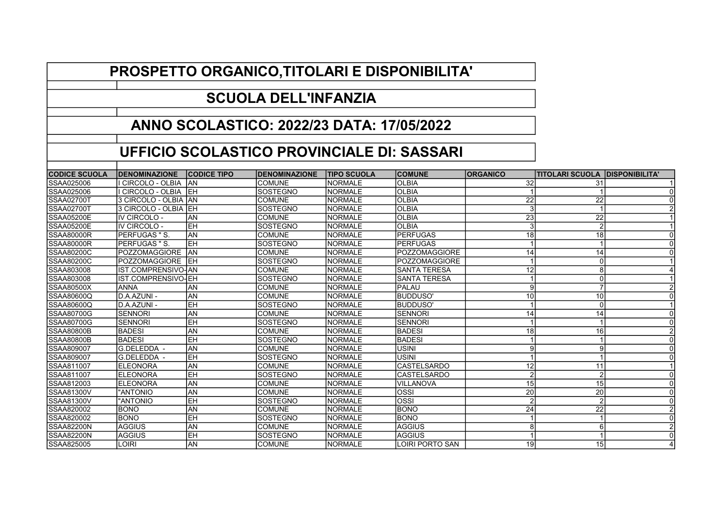## PROSPETTO ORGANICO,TITOLARI E DISPONIBILITA'

## SCUOLA DELL'INFANZIA

## ANNO SCOLASTICO: 2022/23 DATA: 17/05/2022

## UFFICIO SCOLASTICO PROVINCIALE DI: SASSARI

| <b>CODICE SCUOLA</b> | <b>IDENOMINAZIONE</b>  | <b>CODICE TIPO</b> | <b>DENOMINAZIONE</b> | <b>TIPO SCUOLA</b> | <b>COMUNE</b>        | <b>ORGANICO</b> | <b>TITOLARI SCUOLA IDISPONIBILITA'</b> |  |
|----------------------|------------------------|--------------------|----------------------|--------------------|----------------------|-----------------|----------------------------------------|--|
| SSAA025006           | CIRCOLO - OLBIA        | IAN                | <b>COMUNE</b>        | INORMALE           | <b>OLBIA</b>         | 32              | 31                                     |  |
| SSAA025006           | CIRCOLO - OLBIA        | IEH                | <b>SOSTEGNO</b>      | <b>NORMALE</b>     | <b>OLBIA</b>         |                 |                                        |  |
| ISSAA02700T          | 3 CIRCOLO - OLBIA IAN  |                    | <b>COMUNE</b>        | <b>NORMALE</b>     | <b>OLBIA</b>         | 22              | 22                                     |  |
| ISSAA02700T          | l3 CIRCOLO - OLBIA IEH |                    | <b>SOSTEGNO</b>      | <b>NORMALE</b>     | <b>OLBIA</b>         |                 |                                        |  |
| SSAA05200E           | IV CIRCOLO -           | AN                 | <b>COMUNE</b>        | <b>NORMALE</b>     | <b>OLBIA</b>         | 23              | 22                                     |  |
| ISSAA05200E          | IIV CIRCOLO -          | ІЕН                | <b>SOSTEGNO</b>      | <b>NORMALE</b>     | <b>OLBIA</b>         | 3               | $\mathcal{P}$                          |  |
| ISSAA80000R          | PERFUGAS " S.          | lan                | <b>COMUNE</b>        | <b>NORMALE</b>     | <b>PERFUGAS</b>      | 18              | 18                                     |  |
| <b>SSAA80000R</b>    | <b>IPERFUGAS "S.</b>   | <b>EH</b>          | <b>SOSTEGNO</b>      | <b>NORMALE</b>     | <b>PERFUGAS</b>      |                 |                                        |  |
| ISSAA80200C          | <b>IPOZZOMAGGIORE</b>  | lan                | <b>COMUNE</b>        | <b>NORMALE</b>     | <b>POZZOMAGGIORE</b> | 14              | 14                                     |  |
| SSAA80200C           | <b>IPOZZOMAGGIORE</b>  | ІЕН                | <b>SOSTEGNO</b>      | <b>NORMALE</b>     | <b>POZZOMAGGIORE</b> |                 | $\Omega$                               |  |
| SSAA803008           | IST.COMPRENSIVO-IAN    |                    | <b>COMUNE</b>        | <b>NORMALE</b>     | <b>SANTA TERESA</b>  | 12              | 8                                      |  |
| ISSAA803008          | IIST.COMPRENSIVO-IEH   |                    | <b>SOSTEGNO</b>      | <b>NORMALE</b>     | <b>SANTA TERESA</b>  |                 | $\Omega$                               |  |
| SSAA80500X           | <b>ANNA</b>            | lΑN                | <b>COMUNE</b>        | <b>NORMALE</b>     | <b>PALAU</b>         |                 |                                        |  |
| SSAA80600Q           | D.A.AZUNI -            | AN                 | <b>COMUNE</b>        | <b>NORMALE</b>     | BUDDUSO'             | 10              | 10                                     |  |
| ISSAA80600Q          | ID.A.AZUNI -           | ІЕН                | <b>SOSTEGNO</b>      | <b>NORMALE</b>     | IBUDDUSO'            |                 | $\Omega$                               |  |
| SSAA80700G           | <b>SENNORI</b>         | <b>AN</b>          | <b>COMUNE</b>        | <b>NORMALE</b>     | <b>SENNORI</b>       | 14              | 14                                     |  |
| SSAA80700G           | <b>SENNORI</b>         | EH                 | <b>SOSTEGNO</b>      | <b>NORMALE</b>     | <b>SENNORI</b>       |                 |                                        |  |
| SSAA80800B           | <b>BADESI</b>          | lΑN                | <b>COMUNE</b>        | <b>NORMALE</b>     | <b>BADESI</b>        | 18              | 16                                     |  |
| SSAA80800B           | <b>BADESI</b>          | ІЕН                | <b>SOSTEGNO</b>      | <b>NORMALE</b>     | <b>BADESI</b>        |                 |                                        |  |
| <b>SSAA809007</b>    | G.DELEDDA -            | AN                 | <b>COMUNE</b>        | <b>NORMALE</b>     | <b>USINI</b>         |                 | 9                                      |  |
| ISSAA809007          | G.DELEDDA -            | ІЕН                | <b>SOSTEGNO</b>      | <b>NORMALE</b>     | <b>USINI</b>         |                 |                                        |  |
| SSAA811007           | <b>ELEONORA</b>        | lan                | <b>COMUNE</b>        | <b>NORMALE</b>     | CASTELSARDO          | 12              | 11                                     |  |
| ISSAA811007          | <b>ELEONORA</b>        | EH                 | <b>SOSTEGNO</b>      | <b>NORMALE</b>     | CASTELSARDO          |                 | $\overline{2}$                         |  |
| SSAA812003           | <b>IELEONORA</b>       | lan                | <b>COMUNE</b>        | <b>NORMALE</b>     | <b>VILLANOVA</b>     | 15              | 15                                     |  |
| SSAA81300V           | "ANTONIO               | <b>AN</b>          | <b>COMUNE</b>        | <b>NORMALE</b>     | <b>OSSI</b>          | 20              | 20                                     |  |
| <b>SSAA81300V</b>    | "ANTONIO               | lEH                | <b>SOSTEGNO</b>      | <b>NORMALE</b>     | <b>OSSI</b>          |                 | $\overline{2}$                         |  |
| SSAA820002           | IBONO                  | lan                | <b>COMUNE</b>        | <b>NORMALE</b>     | <b>BONO</b>          | 24              | 22                                     |  |
| SSAA820002           | <b>BONO</b>            | lЕH                | <b>SOSTEGNO</b>      | <b>NORMALE</b>     | <b>BONO</b>          |                 |                                        |  |
| <b>SSAA82200N</b>    | <b>AGGIUS</b>          | AN                 | <b>COMUNE</b>        | <b>NORMALE</b>     | <b>AGGIUS</b>        |                 | 6                                      |  |
| SSAA82200N           | <b>AGGIUS</b>          | lЕH                | <b>SOSTEGNO</b>      | <b>NORMALE</b>     | <b>AGGIUS</b>        |                 |                                        |  |
| SSAA825005           | <b>OIRI</b>            | AN                 | <b>COMUNE</b>        | <b>NORMALE</b>     | LOIRI PORTO SAN      | 19              | 15                                     |  |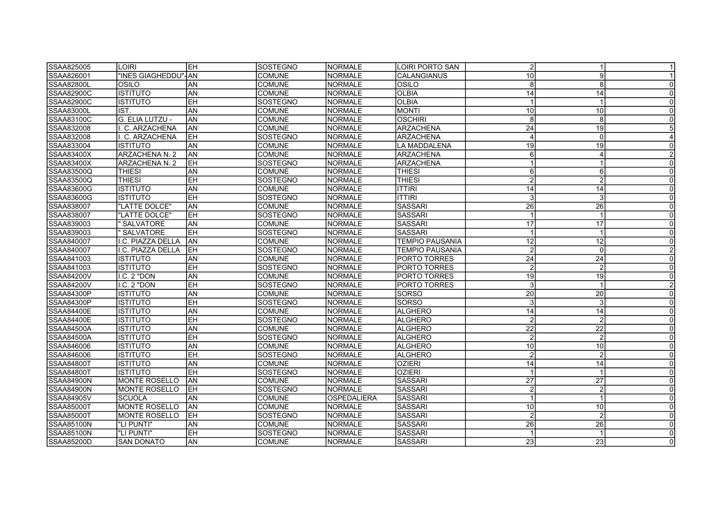| SSAA825005        | LOIRI                 | <b>IEH</b> | <b>SOSTEGNO</b> | INORMALE        | LOIRI PORTO SAN        | $\overline{2}$          |                 | -1             |
|-------------------|-----------------------|------------|-----------------|-----------------|------------------------|-------------------------|-----------------|----------------|
| ISSAA826001       | "INES GIAGHEDDU"- AN  |            | <b>COMUNE</b>   | INORMALE        | <b>CALANGIANUS</b>     | 10                      | 9               |                |
| <b>SSAA82800L</b> | OSILO                 | ΑN         | <b>COMUNE</b>   | <b>NORMALE</b>  | OSILO                  | 8                       | 8               | $\Omega$       |
| <b>SSAA82900C</b> | <b>ISTITUTO</b>       | AN         | <b>COMUNE</b>   | <b>NORMALE</b>  | <b>OLBIA</b>           | 14                      | 14              | $\Omega$       |
| SSAA82900C        | <b>ISTITUTO</b>       | EH         | <b>SOSTEGNO</b> | <b>NORMALE</b>  | <b>OLBIA</b>           |                         |                 | $\Omega$       |
| SSAA83000L        | IST.                  | AN         | <b>COMUNE</b>   | <b>NORMALE</b>  | <b>MONTI</b>           | 10                      | 10              | $\Omega$       |
| SSAA83100C        | G. ELIA LUTZU -       | AN         | <b>COMUNE</b>   | <b>NORMALE</b>  | <b>OSCHIRI</b>         | 8                       | 8               | $\Omega$       |
| SSAA832008        | C. ARZACHENA          | <b>AN</b>  | <b>COMUNE</b>   | <b>INORMALE</b> | <b>ARZACHENA</b>       | 24                      | 19              |                |
| SSAA832008        | C. ARZACHENA          | lЕH        | SOSTEGNO        | NORMALE         | <b>ARZACHENA</b>       | $\overline{\mathbf{4}}$ | $\Omega$        |                |
| SSAA833004        | <b>ISTITUTO</b>       | AN         | <b>COMUNE</b>   | <b>NORMALE</b>  | LA MADDALENA           | 19                      | 19              |                |
| SSAA83400X        | ARZACHENA N. 2        | AN         | <b>COMUNE</b>   | <b>NORMALE</b>  | <b>ARZACHENA</b>       | 6                       |                 |                |
| SSAA83400X        | <b>ARZACHENA N. 2</b> | ІЕН        | <b>SOSTEGNO</b> | NORMALE         | <b>ARZACHENA</b>       |                         |                 | $\Omega$       |
| SSAA83500Q        | THIESI                | AN         | <b>COMUNE</b>   | <b>NORMALE</b>  | <b>THIESI</b>          | 6                       | 6               | $\Omega$       |
| SSAA83500Q        | <b>THIESI</b>         | <b>EH</b>  | SOSTEGNO        | NORMALE         | <b>THIESI</b>          | $\overline{2}$          | $\overline{2}$  |                |
| SSAA83600G        | <b>ISTITUTO</b>       | AN         | <b>COMUNE</b>   | <b>NORMALE</b>  | IITTIRI                | 14                      | 14              | $\Omega$       |
| SSAA83600G        | <b>ISTITUTO</b>       | EH         | <b>SOSTEGNO</b> | <b>NORMALE</b>  | <b>ITTIRI</b>          | 3                       | 3               | $\Omega$       |
| SSAA838007        | "LATTE DOLCE"         | AN         | COMUNE          | <b>NORMALE</b>  | <b>SASSARI</b>         | 26                      | 26              | $\Omega$       |
| SSAA838007        | "LATTE DOLCE"         | EH         | SOSTEGNO        | <b>NORMALE</b>  | <b>SASSARI</b>         |                         |                 | $\Omega$       |
| ISSAA839003       | ' SALVATORE           | <b>AN</b>  | <b>COMUNE</b>   | NORMALE         | <b>SASSARI</b>         | 17                      | 17              | $\Omega$       |
| SSAA839003        | ' SALVATORE           | EH         | SOSTEGNO        | <b>NORMALE</b>  | <b>SASSARI</b>         | $\overline{1}$          |                 | $\Omega$       |
| SSAA840007        | I.C. PIAZZA DELLA     | AN         | <b>COMUNE</b>   | <b>NORMALE</b>  | <b>TEMPIO PAUSANIA</b> | 12                      | 12              |                |
| SSAA840007        | I.C. PIAZZA DELLA     | lEH        | SOSTEGNO        | <b>NORMALE</b>  | <b>TEMPIO PAUSANIA</b> | $\overline{2}$          | $\Omega$        |                |
| SSAA841003        | <b>ISTITUTO</b>       | AN         | <b>COMUNE</b>   | <b>NORMALE</b>  | PORTO TORRES           | 24                      | 24              | $\Omega$       |
| SSAA841003        | <b>ISTITUTO</b>       | <b>EH</b>  | SOSTEGNO        | <b>NORMALE</b>  | <b>PORTO TORRES</b>    | $\overline{2}$          | 2               | $\Omega$       |
| SSAA84200V        | I.C. 2 "DON           | AN         | <b>COMUNE</b>   | NORMALE         | PORTO TORRES           | 19                      | 19              | $\Omega$       |
| ISSAA84200V       | I.C. 2 "DON           | EH         | SOSTEGNO        | <b>NORMALE</b>  | <b>PORTO TORRES</b>    | 3                       |                 |                |
| SSAA84300P        | <b>ISTITUTO</b>       | <b>AN</b>  | <b>COMUNE</b>   | <b>NORMALE</b>  | <b>SORSO</b>           | $\overline{20}$         | 20              | $\Omega$       |
| SSAA84300P        | <b>ISTITUTO</b>       | EH         | <b>SOSTEGNO</b> | INORMALE        | <b>SORSO</b>           | 3                       | 3               | $\Omega$       |
| SSAA84400E        | <b>ISTITUTO</b>       | AN         | <b>COMUNE</b>   | <b>NORMALE</b>  | ALGHERO                | 14                      | 14              | $\overline{0}$ |
| <b>SSAA84400E</b> | <b>ISTITUTO</b>       | lЕH        | SOSTEGNO        | <b>NORMALE</b>  | ALGHERO                | $\overline{2}$          | $\overline{2}$  | $\Omega$       |
| <b>SSAA84500A</b> | <b>ISTITUTO</b>       | <b>AN</b>  | <b>COMUNE</b>   | <b>NORMALE</b>  | <b>ALGHERO</b>         | $\overline{22}$         | $\overline{22}$ | $\Omega$       |
| SSAA84500A        | <b>ISTITUTO</b>       | lΕH        | SOSTEGNO        | NORMALE         | ALGHERO                | $\overline{2}$          | $\overline{2}$  | $\Omega$       |
| SSAA846006        | <b>ISTITUTO</b>       | AN         | <b>COMUNE</b>   | NORMALE         | <b>ALGHERO</b>         | 10                      | 10              | $\Omega$       |
| SSAA846006        | <b>ISTITUTO</b>       | EH         | SOSTEGNO        | NORMALE         | <b>ALGHERO</b>         | $\overline{2}$          | $\overline{2}$  | $\Omega$       |
| ISSAA84800T       | <b>ISTITUTO</b>       | AN         | <b>COMUNE</b>   | NORMALE         | <b>OZIERI</b>          | 14                      | 14              | $\Omega$       |
| <b>SSAA84800T</b> | <b>ISTITUTO</b>       | EH         | SOSTEGNO        | <b>NORMALE</b>  | <b>OZIERI</b>          |                         |                 | $\Omega$       |
| <b>SSAA84900N</b> | <b>MONTE ROSELLO</b>  | lan        | <b>COMUNE</b>   | <b>NORMALE</b>  | <b>SASSARI</b>         | 27                      | 27              | $\Omega$       |
| ISSAA84900N       | MONTE ROSELLO         | <b>IEH</b> | <b>SOSTEGNO</b> | INORMALE        | <b>SASSARI</b>         | $\overline{2}$          | $\overline{2}$  | $\Omega$       |
| SSAA84905V        | <b>SCUOLA</b>         | AN         | <b>COMUNE</b>   | OSPEDALIERA     | <b>SASSARI</b>         |                         |                 | $\Omega$       |
| SSAA85000T        | <b>MONTE ROSELLO</b>  | AN         | <b>COMUNE</b>   | <b>NORMALE</b>  | <b>SASSARI</b>         | 10                      | 10              | $\Omega$       |
| ISSAA85000T       | <b>MONTE ROSELLO</b>  | leh        | SOSTEGNO        | <b>INORMALE</b> | <b>SASSARI</b>         | $\overline{2}$          | $\overline{2}$  | $\Omega$       |
| SSAA85100N        | "LI PUNTI"            | AN         | <b>COMUNE</b>   | NORMALE         | <b>SASSARI</b>         | 26                      | 26              | $\Omega$       |
| <b>SSAA85100N</b> | "LI PUNTI"            | EH         | SOSTEGNO        | <b>NORMALE</b>  | <b>SASSARI</b>         |                         |                 | $\Omega$       |
| SSAA85200D        | <b>SAN DONATO</b>     | <b>AN</b>  | <b>COMUNE</b>   | NORMALE         | <b>SASSARI</b>         | 23                      | 23              | $\Omega$       |